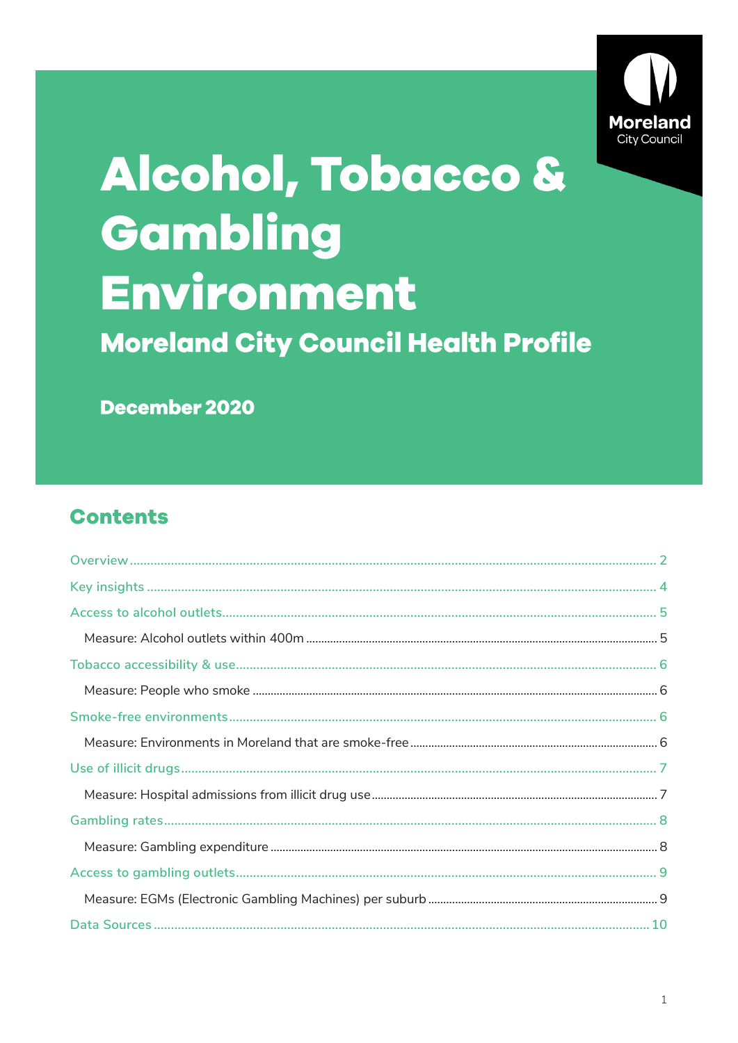

# Alcohol, Tobacco & Gambling Environment **Moreland City Council Health Profile**

December 2020

# **Contents**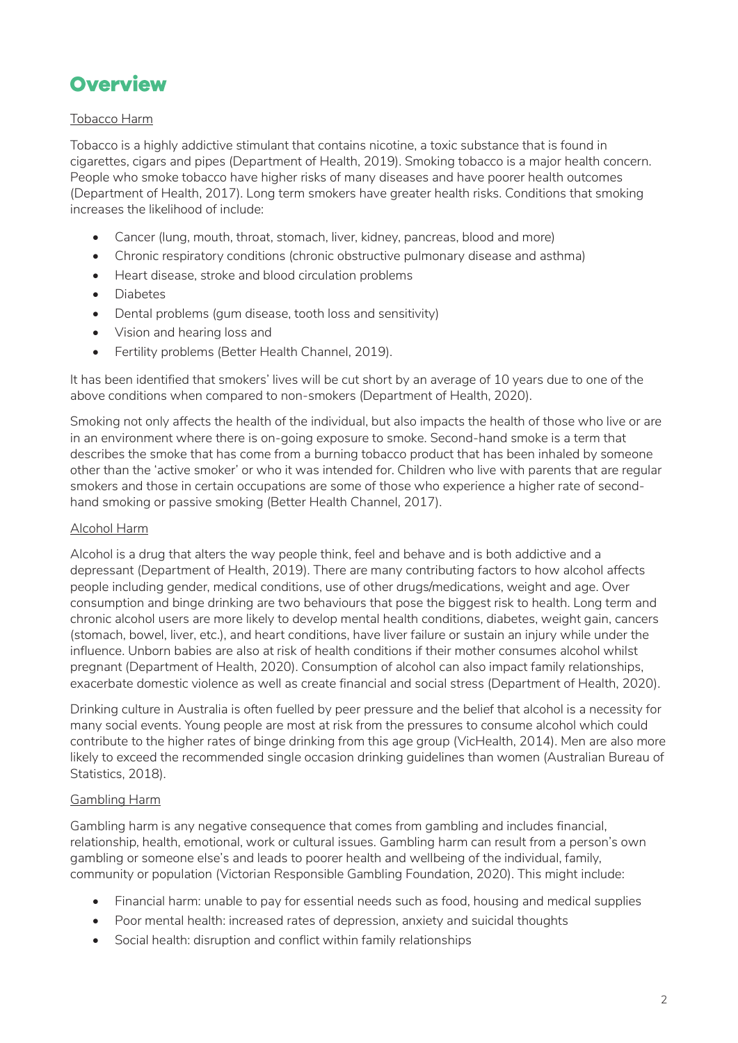# <span id="page-1-0"></span>**Overview**

### Tobacco Harm

Tobacco is a highly addictive stimulant that contains nicotine, a toxic substance that is found in cigarettes, cigars and pipes (Department of Health, 2019). Smoking tobacco is a major health concern. People who smoke tobacco have higher risks of many diseases and have poorer health outcomes (Department of Health, 2017). Long term smokers have greater health risks. Conditions that smoking increases the likelihood of include:

- Cancer (lung, mouth, throat, stomach, liver, kidney, pancreas, blood and more)
- Chronic respiratory conditions (chronic obstructive pulmonary disease and asthma)
- Heart disease, stroke and blood circulation problems
- Diabetes
- Dental problems (gum disease, tooth loss and sensitivity)
- Vision and hearing loss and
- Fertility problems (Better Health Channel, 2019).

It has been identified that smokers' lives will be cut short by an average of 10 years due to one of the above conditions when compared to non-smokers (Department of Health, 2020).

Smoking not only affects the health of the individual, but also impacts the health of those who live or are in an environment where there is on-going exposure to smoke. Second-hand smoke is a term that describes the smoke that has come from a burning tobacco product that has been inhaled by someone other than the 'active smoker' or who it was intended for. Children who live with parents that are regular smokers and those in certain occupations are some of those who experience a higher rate of secondhand smoking or passive smoking (Better Health Channel, 2017).

#### Alcohol Harm

Alcohol is a drug that alters the way people think, feel and behave and is both addictive and a depressant (Department of Health, 2019). There are many contributing factors to how alcohol affects people including gender, medical conditions, use of other drugs/medications, weight and age. Over consumption and binge drinking are two behaviours that pose the biggest risk to health. Long term and chronic alcohol users are more likely to develop mental health conditions, diabetes, weight gain, cancers (stomach, bowel, liver, etc.), and heart conditions, have liver failure or sustain an injury while under the influence. Unborn babies are also at risk of health conditions if their mother consumes alcohol whilst pregnant (Department of Health, 2020). Consumption of alcohol can also impact family relationships, exacerbate domestic violence as well as create financial and social stress (Department of Health, 2020).

Drinking culture in Australia is often fuelled by peer pressure and the belief that alcohol is a necessity for many social events. Young people are most at risk from the pressures to consume alcohol which could contribute to the higher rates of binge drinking from this age group (VicHealth, 2014). Men are also more likely to exceed the recommended single occasion drinking guidelines than women (Australian Bureau of Statistics, 2018).

#### Gambling Harm

Gambling harm is any negative consequence that comes from gambling and includes financial, relationship, health, emotional, work or cultural issues. Gambling harm can result from a person's own gambling or someone else's and leads to poorer health and wellbeing of the individual, family, community or population (Victorian Responsible Gambling Foundation, 2020). This might include:

- Financial harm: unable to pay for essential needs such as food, housing and medical supplies
- Poor mental health: increased rates of depression, anxiety and suicidal thoughts
- Social health: disruption and conflict within family relationships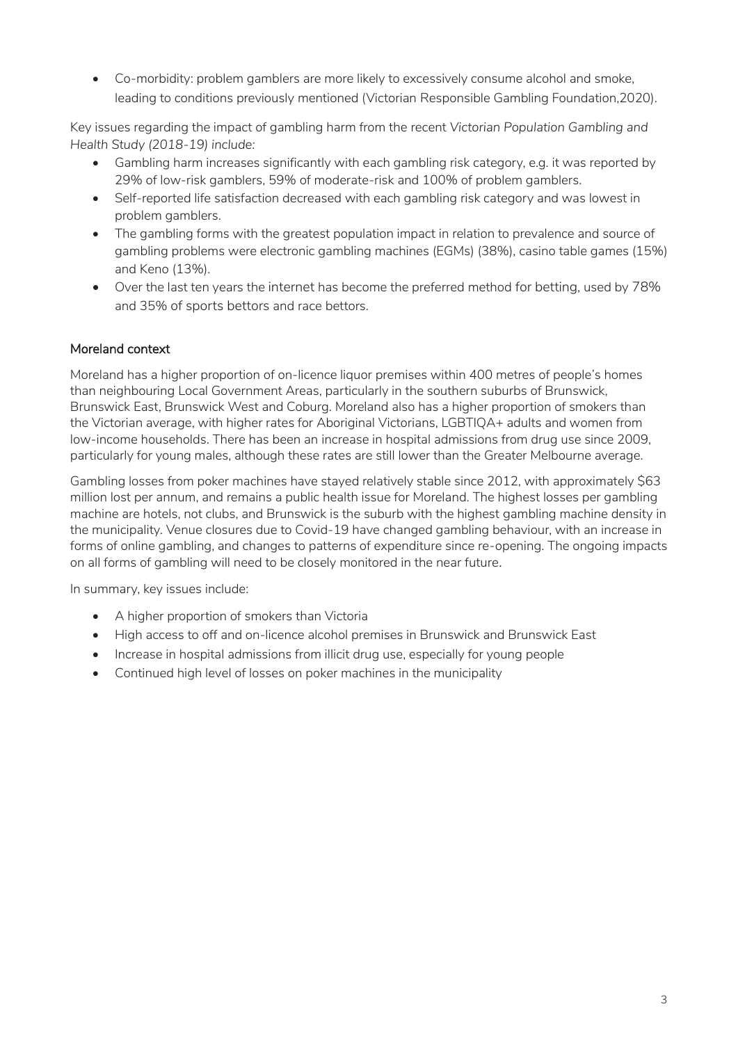• Co-morbidity: problem gamblers are more likely to excessively consume alcohol and smoke, leading to conditions previously mentioned (Victorian Responsible Gambling Foundation,2020).

Key issues regarding the impact of gambling harm from the recent *Victorian Population Gambling and Health Study (2018-19) include:* 

- Gambling harm increases significantly with each gambling risk category, e.g. it was reported by 29% of low-risk gamblers, 59% of moderate-risk and 100% of problem gamblers.
- Self-reported life satisfaction decreased with each gambling risk category and was lowest in problem gamblers.
- The gambling forms with the greatest population impact in relation to prevalence and source of gambling problems were electronic gambling machines (EGMs) (38%), casino table games (15%) and Keno (13%).
- Over the last ten years the internet has become the preferred method for betting, used by 78% and 35% of sports bettors and race bettors.

# Moreland context

Moreland has a higher proportion of on-licence liquor premises within 400 metres of people's homes than neighbouring Local Government Areas, particularly in the southern suburbs of Brunswick, Brunswick East, Brunswick West and Coburg. Moreland also has a higher proportion of smokers than the Victorian average, with higher rates for Aboriginal Victorians, LGBTIQA+ adults and women from low-income households. There has been an increase in hospital admissions from drug use since 2009, particularly for young males, although these rates are still lower than the Greater Melbourne average.

Gambling losses from poker machines have stayed relatively stable since 2012, with approximately \$63 million lost per annum, and remains a public health issue for Moreland. The highest losses per gambling machine are hotels, not clubs, and Brunswick is the suburb with the highest gambling machine density in the municipality. Venue closures due to Covid-19 have changed gambling behaviour, with an increase in forms of online gambling, and changes to patterns of expenditure since re-opening. The ongoing impacts on all forms of gambling will need to be closely monitored in the near future.

In summary, key issues include:

- A higher proportion of smokers than Victoria
- High access to off and on-licence alcohol premises in Brunswick and Brunswick East
- Increase in hospital admissions from illicit drug use, especially for young people
- Continued high level of losses on poker machines in the municipality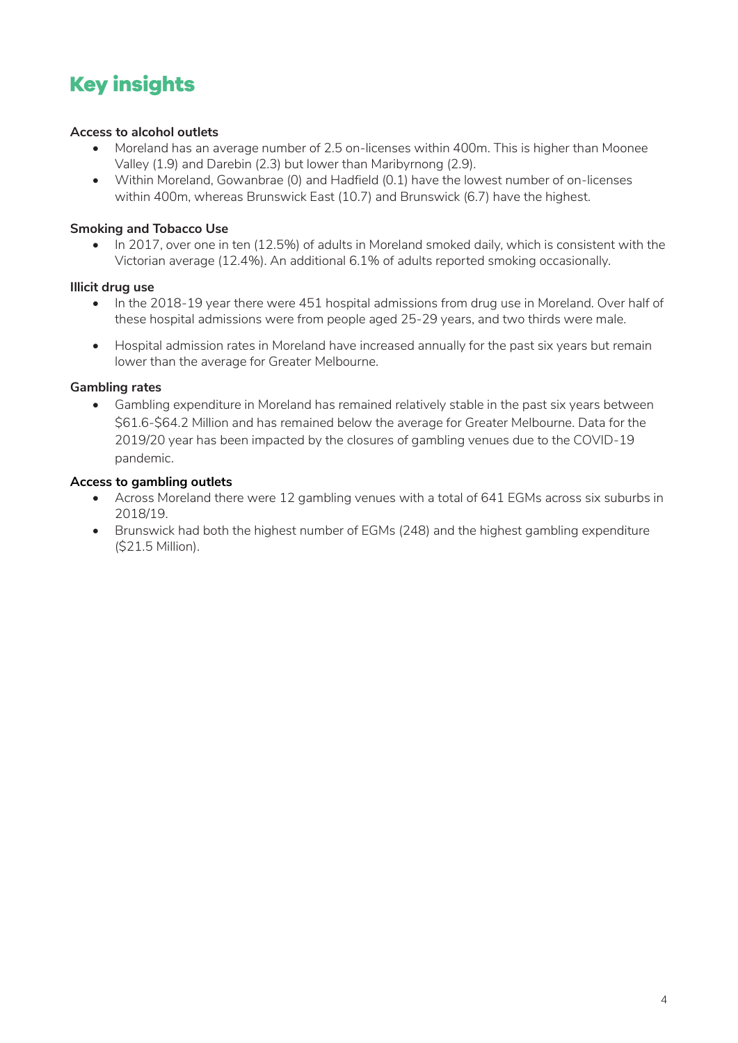# <span id="page-3-0"></span>**Key insights**

### **Access to alcohol outlets**

- Moreland has an average number of 2.5 on-licenses within 400m. This is higher than Moonee Valley (1.9) and Darebin (2.3) but lower than Maribyrnong (2.9).
- Within Moreland, Gowanbrae (0) and Hadfield (0.1) have the lowest number of on-licenses within 400m, whereas Brunswick East (10.7) and Brunswick (6.7) have the highest.

### **Smoking and Tobacco Use**

• In 2017, over one in ten (12.5%) of adults in Moreland smoked daily, which is consistent with the Victorian average (12.4%). An additional 6.1% of adults reported smoking occasionally.

#### **Illicit drug use**

- In the 2018-19 year there were 451 hospital admissions from drug use in Moreland. Over half of these hospital admissions were from people aged 25-29 years, and two thirds were male.
- Hospital admission rates in Moreland have increased annually for the past six years but remain lower than the average for Greater Melbourne.

### **Gambling rates**

• Gambling expenditure in Moreland has remained relatively stable in the past six years between \$61.6-\$64.2 Million and has remained below the average for Greater Melbourne. Data for the 2019/20 year has been impacted by the closures of gambling venues due to the COVID-19 pandemic.

### **Access to gambling outlets**

- Across Moreland there were 12 gambling venues with a total of 641 EGMs across six suburbs in 2018/19.
- Brunswick had both the highest number of EGMs (248) and the highest gambling expenditure (\$21.5 Million).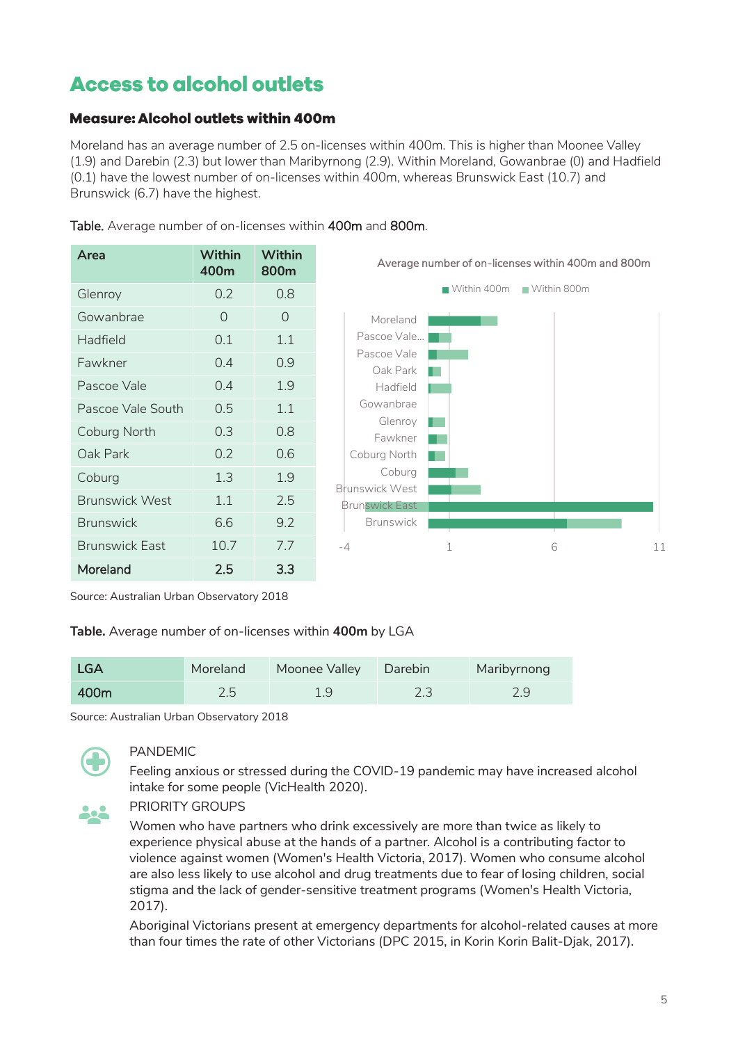# <span id="page-4-0"></span>**Access to alcohol outlets**

# <span id="page-4-1"></span>**Measure: Alcohol outlets within 400m**

Moreland has an average number of 2.5 on-licenses within 400m. This is higher than Moonee Valley (1.9) and Darebin (2.3) but lower than Maribyrnong (2.9). Within Moreland, Gowanbrae (0) and Hadfield (0.1) have the lowest number of on-licenses within 400m, whereas Brunswick East (10.7) and Brunswick (6.7) have the highest.

| Area                  | Within<br>400m | Within<br>800m |
|-----------------------|----------------|----------------|
| Glenroy               | 0.2            | 0.8            |
| Gowanbrae             | 0              | $\Omega$       |
| Hadfield              | 0.1            | 1.1            |
| Fawkner               | 0.4            | 0.9            |
| Pascoe Vale           | 0.4            | 1.9            |
| Pascoe Vale South     | 0.5            | 1.1            |
| Coburg North          | 0.3            | 0.8            |
| Oak Park              | 0.2            | 0.6            |
| Coburg                | 1.3            | 1.9            |
| <b>Brunswick West</b> | 1.1            | 2.5            |
| <b>Brunswick</b>      | 6.6            | 9.2            |
| <b>Brunswick East</b> | 10.7           | 7.7            |
| Moreland              | 2.5            | 3.3            |
|                       |                |                |

Table. Average number of on-licenses within 400m and 800m.



#### Source: Australian Urban Observatory 2018

#### **Table.** Average number of on-licenses within **400m** by LGA

| <b>LGA</b> | Moreland | Moonee Valley | Darebin | Maribyrnong |
|------------|----------|---------------|---------|-------------|
| 400m       | 2.5      | 1.9           |         |             |

Source: Australian Urban Observatory 2018



# PANDEMIC

Feeling anxious or stressed during the COVID-19 pandemic may have increased alcohol intake for some people (VicHealth 2020).

PRIORITY GROUPS

Women who have partners who drink excessively are more than twice as likely to experience physical abuse at the hands of a partner. Alcohol is a contributing factor to violence against women (Women's Health Victoria, 2017). Women who consume alcohol are also less likely to use alcohol and drug treatments due to fear of losing children, social stigma and the lack of gender-sensitive treatment programs (Women's Health Victoria, 2017).

Aboriginal Victorians present at emergency departments for alcohol-related causes at more than four times the rate of other Victorians (DPC 2015, in Korin Korin Balit-Djak, 2017).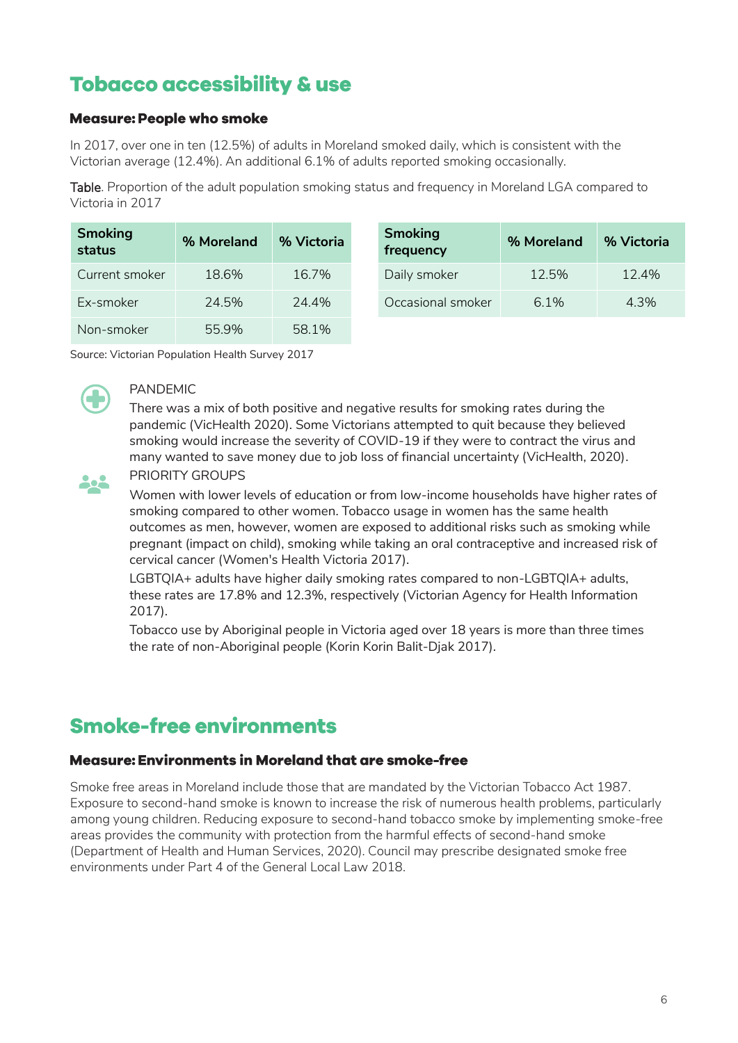# <span id="page-5-0"></span>**Tobacco accessibility & use**

### <span id="page-5-1"></span>**Measure: People who smoke**

In 2017, over one in ten (12.5%) of adults in Moreland smoked daily, which is consistent with the Victorian average (12.4%). An additional 6.1% of adults reported smoking occasionally.

Table. Proportion of the adult population smoking status and frequency in Moreland LGA compared to Victoria in 2017

| <b>Smoking</b><br>status | % Moreland | % Victoria | <b>Smoking</b><br>frequency |
|--------------------------|------------|------------|-----------------------------|
| Current smoker           | 18.6%      | 16.7%      | Daily smol                  |
| Ex-smoker                | 24.5%      | 24.4%      | Occasiona                   |
| Non-smoker               | 55.9%      | 58.1%      |                             |

| <b>Smoking</b><br>status | % Moreland | % Victoria | <b>Smoking</b><br>frequency | % Moreland | % Victoria |
|--------------------------|------------|------------|-----------------------------|------------|------------|
| Current smoker           | 18.6%      | 16.7%      | Daily smoker                | 12.5%      | 12.4%      |
| Ex-smoker                | 24.5%      | 24.4%      | Occasional smoker           | $6.1\%$    | 4.3%       |

Source: Victorian Population Health Survey 2017



#### PANDEMIC

There was a mix of both positive and negative results for smoking rates during the pandemic (VicHealth 2020). Some Victorians attempted to quit because they believed smoking would increase the severity of COVID-19 if they were to contract the virus and many wanted to save money due to job loss of financial uncertainty (VicHealth, 2020).



### PRIORITY GROUPS

Women with lower levels of education or from low-income households have higher rates of smoking compared to other women. Tobacco usage in women has the same health outcomes as men, however, women are exposed to additional risks such as smoking while pregnant (impact on child), smoking while taking an oral contraceptive and increased risk of cervical cancer (Women's Health Victoria 2017).

LGBTQIA+ adults have higher daily smoking rates compared to non-LGBTQIA+ adults, these rates are 17.8% and 12.3%, respectively (Victorian Agency for Health Information 2017).

Tobacco use by Aboriginal people in Victoria aged over 18 years is more than three times the rate of non-Aboriginal people (Korin Korin Balit-Djak 2017).

# <span id="page-5-2"></span>**Smoke-free environments**

# <span id="page-5-3"></span>Measure: Environments in Moreland that are smoke-free

Smoke free areas in Moreland include those that are mandated by the Victorian Tobacco Act 1987. Exposure to second-hand smoke is known to increase the risk of numerous health problems, particularly among young children. Reducing exposure to second-hand tobacco smoke by implementing smoke-free areas provides the community with protection from the harmful effects of second-hand smoke (Department of Health and Human Services, 2020). Council may prescribe designated smoke free environments under Part 4 of the General Local Law 2018.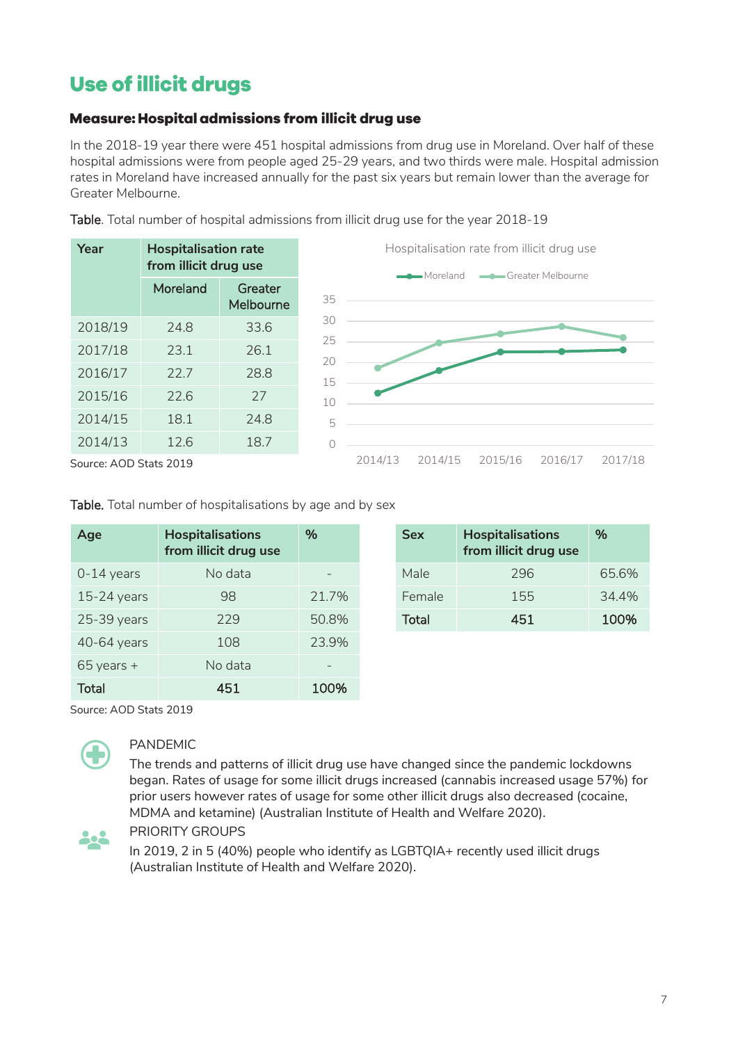# <span id="page-6-0"></span>Use of illicit drugs

# <span id="page-6-1"></span>Measure: Hospital admissions from illicit drug use

In the 2018-19 year there were 451 hospital admissions from drug use in Moreland. Over half of these hospital admissions were from people aged 25-29 years, and two thirds were male. Hospital admission rates in Moreland have increased annually for the past six years but remain lower than the average for Greater Melbourne.

Table. Total number of hospital admissions from illicit drug use for the year 2018-19

| <b>Hospitalisation rate</b><br>Year<br>from illicit drug use |          |                      | Hospitalisation rate from illicit drug use<br>Greater Melbourne<br>Moreland |
|--------------------------------------------------------------|----------|----------------------|-----------------------------------------------------------------------------|
|                                                              | Moreland | Greater<br>Melbourne | 35                                                                          |
| 2018/19                                                      | 24.8     | 33.6                 | 30                                                                          |
| 2017/18                                                      | 23.1     | 26.1                 | 25<br>20                                                                    |
| 2016/17                                                      | 22.7     | 28.8                 | 15                                                                          |
| 2015/16                                                      | 22.6     | 27                   | 10                                                                          |
| 2014/15                                                      | 18.1     | 24.8                 | 5                                                                           |
| 2014/13                                                      | 12.6     | 18.7                 |                                                                             |

Source: AOD Stats 2019

Table. Total number of hospitalisations by age and by sex

| Age            | <b>Hospitalisations</b><br>from illicit drug use | %     | <b>Sex</b> | <b>Hospitalisations</b><br>from illicit drug use | %     |
|----------------|--------------------------------------------------|-------|------------|--------------------------------------------------|-------|
| $0-14$ years   | No data                                          |       | Male       | 296                                              | 65.6% |
| $15-24$ years  | 98                                               | 21.7% | Female     | 155                                              | 34.4% |
| 25-39 years    | 229                                              | 50.8% | Total      | 451                                              | 100%  |
| 40-64 years    | 108                                              | 23.9% |            |                                                  |       |
| $65$ years $+$ | No data                                          | -     |            |                                                  |       |
| <b>Total</b>   | 451                                              | 100%  |            |                                                  |       |

| %     | <b>Sex</b> | <b>Hospitalisations</b><br>from illicit drug use | $\%$  |
|-------|------------|--------------------------------------------------|-------|
|       | Male       | 296                                              | 65.6% |
| 21.7% | Female     | 155                                              | 34.4% |
| 50.8% | Total      | 451                                              | 100%  |
|       |            |                                                  |       |

2014/13 2014/15 2015/16 2016/17 2017/18

Source: AOD Stats 2019



# PANDEMIC

The trends and patterns of illicit drug use have changed since the pandemic lockdowns began. Rates of usage for some illicit drugs increased (cannabis increased usage 57%) for prior users however rates of usage for some other illicit drugs also decreased (cocaine, MDMA and ketamine) (Australian Institute of Health and Welfare 2020).



PRIORITY GROUPS

In 2019, 2 in 5 (40%) people who identify as LGBTQIA+ recently used illicit drugs (Australian Institute of Health and Welfare 2020).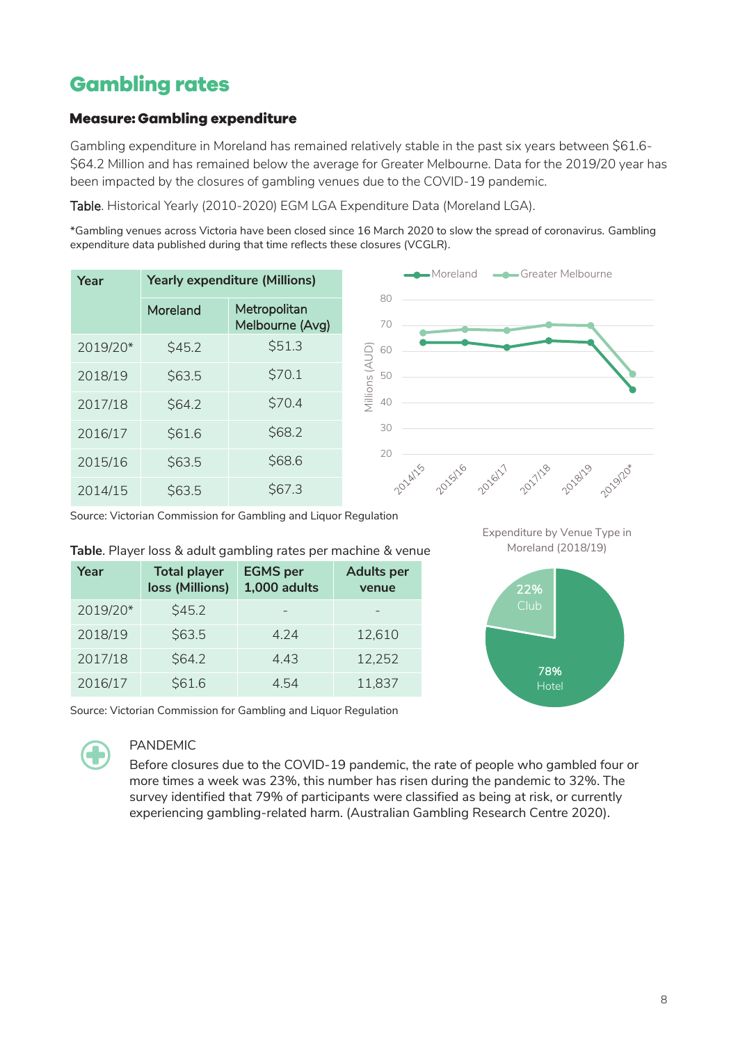# <span id="page-7-0"></span>**Gambling rates**

### <span id="page-7-1"></span>**Measure: Gambling expenditure**

Gambling expenditure in Moreland has remained relatively stable in the past six years between \$61.6- \$64.2 Million and has remained below the average for Greater Melbourne. Data for the 2019/20 year has been impacted by the closures of gambling venues due to the COVID-19 pandemic.

Table. Historical Yearly (2010-2020) EGM LGA Expenditure Data (Moreland LGA).

\*Gambling venues across Victoria have been closed since 16 March 2020 to slow the spread of coronavirus. Gambling expenditure data published during that time reflects these closures (VCGLR).

| Year     | <b>Yearly expenditure (Millions)</b> |                                 |  |  |  |
|----------|--------------------------------------|---------------------------------|--|--|--|
|          | Moreland                             | Metropolitan<br>Melbourne (Avg) |  |  |  |
| 2019/20* | \$45.2                               | \$51.3                          |  |  |  |
| 2018/19  | \$63.5                               | \$70.1                          |  |  |  |
| 2017/18  | \$64.2                               | \$70.4                          |  |  |  |
| 2016/17  | \$61.6                               | \$68.2                          |  |  |  |
| 2015/16  | \$63.5                               | \$68.6                          |  |  |  |
| 2014/15  | S63.5                                | \$67.3                          |  |  |  |



Source: Victorian Commission for Gambling and Liquor Regulation

#### **Table**. Player loss & adult gambling rates per machine & venue

| Year     | <b>Total player</b><br>loss (Millions) | <b>EGMS</b> per<br>1,000 adults | <b>Adults per</b><br>venue |
|----------|----------------------------------------|---------------------------------|----------------------------|
| 2019/20* | \$45.2                                 |                                 |                            |
| 2018/19  | \$63.5                                 | 4.24                            | 12,610                     |
| 2017/18  | \$64.2                                 | 4.43                            | 12,252                     |
| 2016/17  | \$61.6                                 | 4.54                            | 11,837                     |





Source: Victorian Commission for Gambling and Liquor Regulation



#### PANDEMIC

Before closures due to the COVID-19 pandemic, the rate of people who gambled four or more times a week was 23%, this number has risen during the pandemic to 32%. The survey identified that 79% of participants were classified as being at risk, or currently experiencing gambling-related harm. (Australian Gambling Research Centre 2020).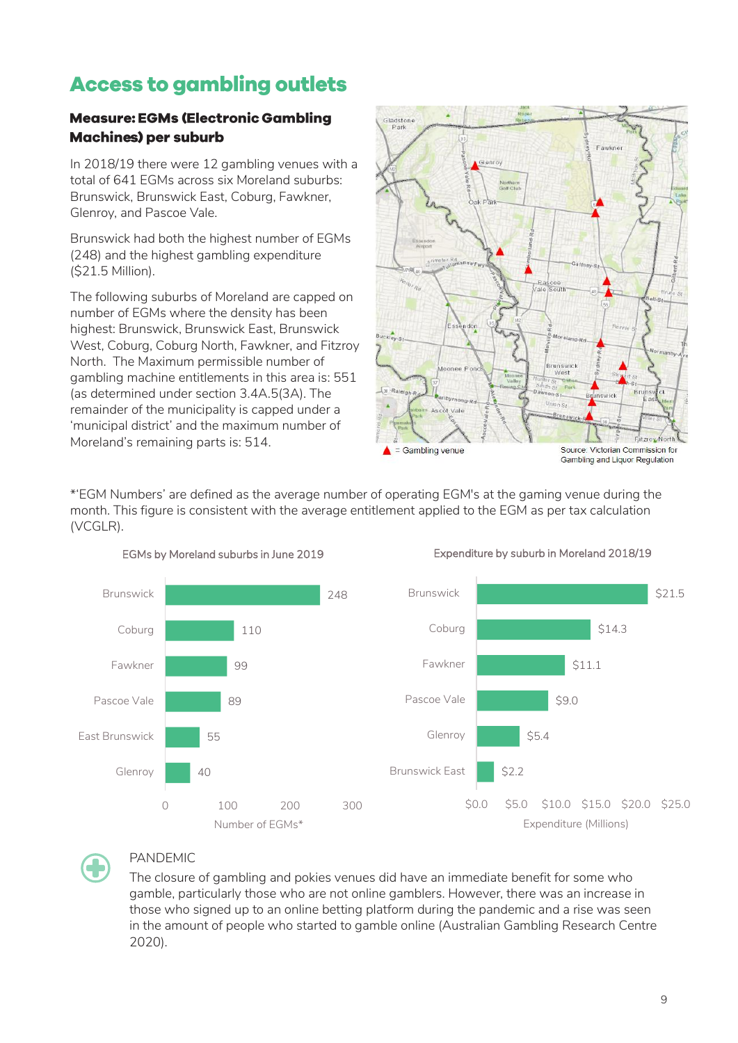# <span id="page-8-0"></span>**Access to gambling outlets**

# <span id="page-8-1"></span>**Measure: EGMs (Electronic Gambling Machines) per suburb**

In 2018/19 there were 12 gambling venues with a total of 641 EGMs across six Moreland suburbs: Brunswick, Brunswick East, Coburg, Fawkner, Glenroy, and Pascoe Vale.

Brunswick had both the highest number of EGMs (248) and the highest gambling expenditure (\$21.5 Million).

The following suburbs of Moreland are capped on number of EGMs where the density has been highest: Brunswick, Brunswick East, Brunswick West, Coburg, Coburg North, Fawkner, and Fitzroy North. The Maximum permissible number of gambling machine entitlements in this area is: 551 (as determined under section 3.4A.5(3A). The remainder of the municipality is capped under a 'municipal district' and the maximum number of Moreland's remaining parts is: 514.

EGMs by Moreland suburbs in June 2019



\*'EGM Numbers' are defined as the average number of operating EGM's at the gaming venue during the month. This figure is consistent with the average entitlement applied to the EGM as per tax calculation (VCGLR).



#### Expenditure by suburb in Moreland 2018/19



# PANDEMIC

The closure of gambling and pokies venues did have an immediate benefit for some who gamble, particularly those who are not online gamblers. However, there was an increase in those who signed up to an online betting platform during the pandemic and a rise was seen in the amount of people who started to gamble online (Australian Gambling Research Centre 2020).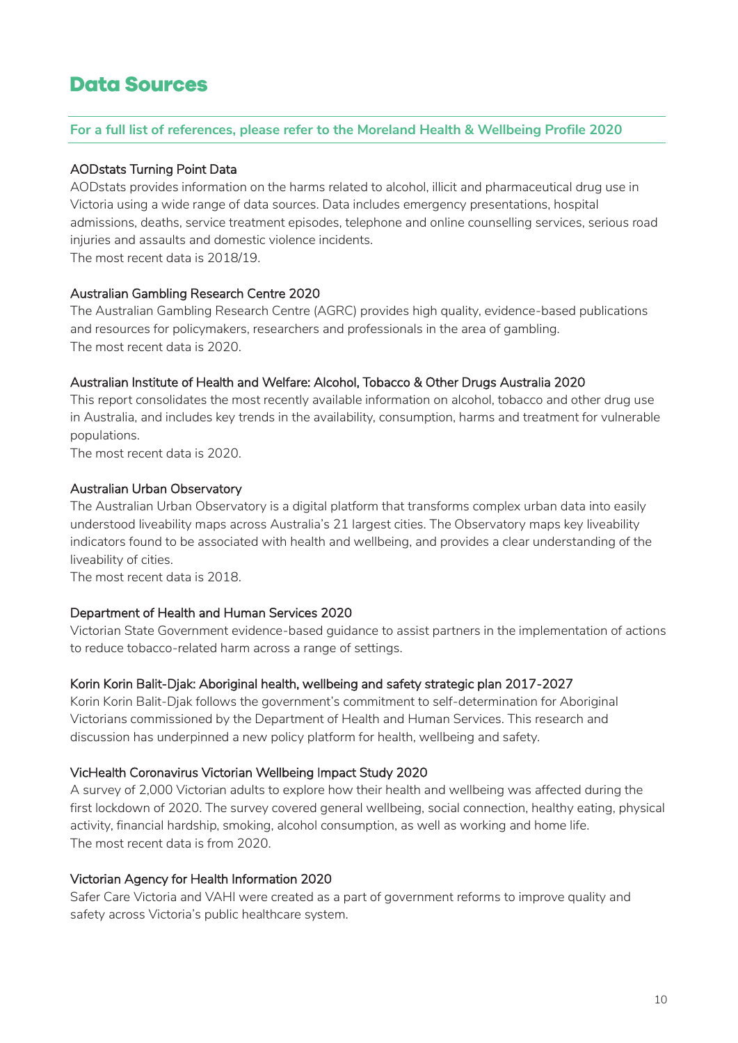# <span id="page-9-0"></span>**Data Sources**

#### **For a full list of references, please refer to the Moreland Health & Wellbeing Profile 2020**

#### AODstats Turning Point Data

AODstats provides information on the harms related to alcohol, illicit and pharmaceutical drug use in Victoria using a wide range of data sources. Data includes emergency presentations, hospital admissions, deaths, service treatment episodes, telephone and online counselling services, serious road injuries and assaults and domestic violence incidents. The most recent data is 2018/19.

#### Australian Gambling Research Centre 2020

The Australian Gambling Research Centre (AGRC) provides high quality, evidence-based publications and resources for policymakers, researchers and professionals in the area of gambling. The most recent data is 2020.

#### Australian Institute of Health and Welfare: Alcohol, Tobacco & Other Drugs Australia 2020

This report consolidates the most recently available information on alcohol, tobacco and other drug use in Australia, and includes key trends in the availability, consumption, harms and treatment for vulnerable populations.

The most recent data is 2020.

#### Australian Urban Observatory

The Australian Urban Observatory is a digital platform that transforms complex urban data into easily understood liveability maps across Australia's 21 largest cities. The Observatory maps key liveability indicators found to be associated with health and wellbeing, and provides a clear understanding of the liveability of cities.

The most recent data is 2018.

#### Department of Health and Human Services 2020

Victorian State Government evidence-based guidance to assist partners in the implementation of actions to reduce tobacco-related harm across a range of settings.

#### Korin Korin Balit-Djak: Aboriginal health, wellbeing and safety strategic plan 2017-2027

Korin Korin Balit-Djak follows the government's commitment to self-determination for Aboriginal Victorians commissioned by the Department of Health and Human Services. This research and discussion has underpinned a new policy platform for health, wellbeing and safety.

#### VicHealth Coronavirus Victorian Wellbeing Impact Study 2020

A survey of 2,000 Victorian adults to explore how their health and wellbeing was affected during the first lockdown of 2020. The survey covered general wellbeing, social connection, healthy eating, physical activity, financial hardship, smoking, alcohol consumption, as well as working and home life. The most recent data is from 2020.

#### Victorian Agency for Health Information 2020

Safer Care Victoria and VAHI were created as a part of government reforms to improve quality and safety across Victoria's public healthcare system.